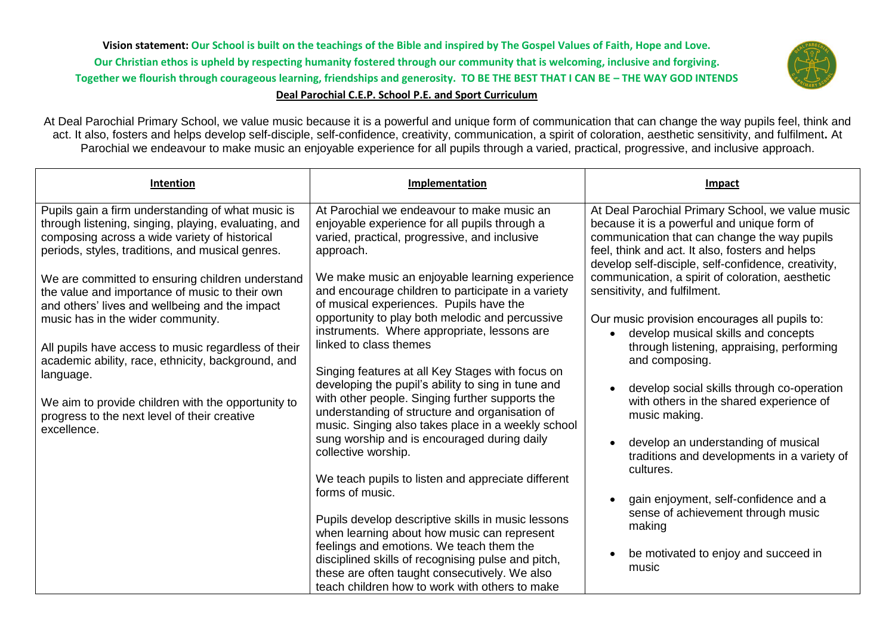**Vision statement: Our School is built on the teachings of the Bible and inspired by The Gospel Values of Faith, Hope and Love. Our Christian ethos is upheld by respecting humanity fostered through our community that is welcoming, inclusive and forgiving. Together we flourish through courageous learning, friendships and generosity. TO BE THE BEST THAT I CAN BE – THE WAY GOD INTENDS Deal Parochial C.E.P. School P.E. and Sport Curriculum**



## At Deal Parochial Primary School, we value music because it is a powerful and unique form of communication that can change the way pupils feel, think and act. It also, fosters and helps develop self-disciple, self-confidence, creativity, communication, a spirit of coloration, aesthetic sensitivity, and fulfilment**.** At Parochial we endeavour to make music an enjoyable experience for all pupils through a varied, practical, progressive, and inclusive approach.

| Intention                                                                                                                                                                                                                                                                                                            | Implementation                                                                                                                                                                                                                                                                                                            | Impact                                                                                                                                                                                                                                                                                                                                        |
|----------------------------------------------------------------------------------------------------------------------------------------------------------------------------------------------------------------------------------------------------------------------------------------------------------------------|---------------------------------------------------------------------------------------------------------------------------------------------------------------------------------------------------------------------------------------------------------------------------------------------------------------------------|-----------------------------------------------------------------------------------------------------------------------------------------------------------------------------------------------------------------------------------------------------------------------------------------------------------------------------------------------|
| Pupils gain a firm understanding of what music is<br>through listening, singing, playing, evaluating, and<br>composing across a wide variety of historical<br>periods, styles, traditions, and musical genres.<br>We are committed to ensuring children understand<br>the value and importance of music to their own | At Parochial we endeavour to make music an<br>enjoyable experience for all pupils through a<br>varied, practical, progressive, and inclusive<br>approach.<br>We make music an enjoyable learning experience<br>and encourage children to participate in a variety                                                         | At Deal Parochial Primary School, we value music<br>because it is a powerful and unique form of<br>communication that can change the way pupils<br>feel, think and act. It also, fosters and helps<br>develop self-disciple, self-confidence, creativity,<br>communication, a spirit of coloration, aesthetic<br>sensitivity, and fulfilment. |
| and others' lives and wellbeing and the impact<br>music has in the wider community.<br>All pupils have access to music regardless of their<br>academic ability, race, ethnicity, background, and<br>language.                                                                                                        | of musical experiences. Pupils have the<br>opportunity to play both melodic and percussive<br>instruments. Where appropriate, lessons are<br>linked to class themes<br>Singing features at all Key Stages with focus on<br>developing the pupil's ability to sing in tune and                                             | Our music provision encourages all pupils to:<br>develop musical skills and concepts<br>$\bullet$<br>through listening, appraising, performing<br>and composing.<br>develop social skills through co-operation                                                                                                                                |
| We aim to provide children with the opportunity to<br>progress to the next level of their creative<br>excellence.                                                                                                                                                                                                    | with other people. Singing further supports the<br>understanding of structure and organisation of<br>music. Singing also takes place in a weekly school<br>sung worship and is encouraged during daily<br>collective worship.<br>We teach pupils to listen and appreciate different                                       | with others in the shared experience of<br>music making.<br>develop an understanding of musical<br>traditions and developments in a variety of<br>cultures.                                                                                                                                                                                   |
|                                                                                                                                                                                                                                                                                                                      | forms of music.<br>Pupils develop descriptive skills in music lessons<br>when learning about how music can represent<br>feelings and emotions. We teach them the<br>disciplined skills of recognising pulse and pitch,<br>these are often taught consecutively. We also<br>teach children how to work with others to make | gain enjoyment, self-confidence and a<br>sense of achievement through music<br>making<br>be motivated to enjoy and succeed in<br>music                                                                                                                                                                                                        |